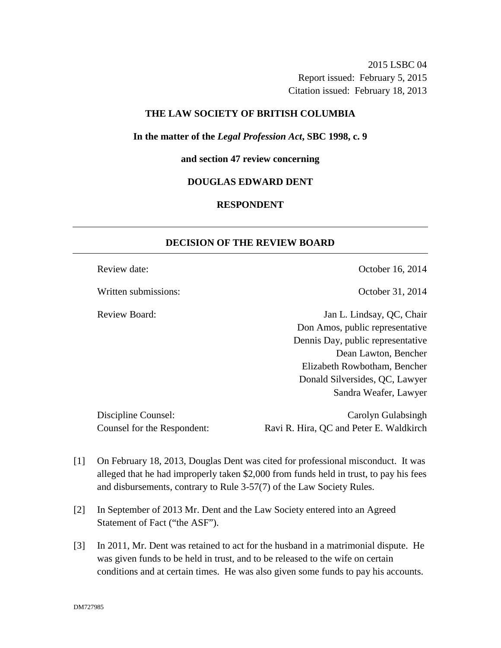2015 LSBC 04 Report issued: February 5, 2015 Citation issued: February 18, 2013

# **THE LAW SOCIETY OF BRITISH COLUMBIA**

#### **In the matter of the** *Legal Profession Act***, SBC 1998, c. 9**

### **and section 47 review concerning**

### **DOUGLAS EDWARD DENT**

# **RESPONDENT**

# **DECISION OF THE REVIEW BOARD**

Written submissions: Contract Contract Contract Contract Contract October 31, 2014

Review date:  $\qquad \qquad$  October 16, 2014

Review Board: Jan L. Lindsay, QC, Chair Don Amos, public representative Dennis Day, public representative Dean Lawton, Bencher Elizabeth Rowbotham, Bencher Donald Silversides, QC, Lawyer Sandra Weafer, Lawyer

Discipline Counsel: Carolyn Gulabsingh Carolyn Gulabsingh Counsel for the Respondent: Ravi R. Hira, QC and Peter E. Waldkirch

- [1] On February 18, 2013, Douglas Dent was cited for professional misconduct. It was alleged that he had improperly taken \$2,000 from funds held in trust, to pay his fees and disbursements, contrary to Rule 3-57(7) of the Law Society Rules.
- [2] In September of 2013 Mr. Dent and the Law Society entered into an Agreed Statement of Fact ("the ASF").
- [3] In 2011, Mr. Dent was retained to act for the husband in a matrimonial dispute. He was given funds to be held in trust, and to be released to the wife on certain conditions and at certain times. He was also given some funds to pay his accounts.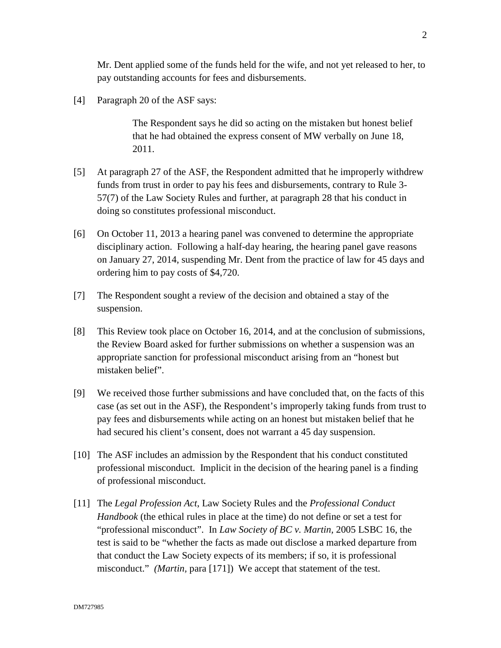Mr. Dent applied some of the funds held for the wife, and not yet released to her, to pay outstanding accounts for fees and disbursements.

[4] Paragraph 20 of the ASF says:

The Respondent says he did so acting on the mistaken but honest belief that he had obtained the express consent of MW verbally on June 18, 2011.

- [5] At paragraph 27 of the ASF, the Respondent admitted that he improperly withdrew funds from trust in order to pay his fees and disbursements, contrary to Rule 3- 57(7) of the Law Society Rules and further, at paragraph 28 that his conduct in doing so constitutes professional misconduct.
- [6] On October 11, 2013 a hearing panel was convened to determine the appropriate disciplinary action. Following a half-day hearing, the hearing panel gave reasons on January 27, 2014, suspending Mr. Dent from the practice of law for 45 days and ordering him to pay costs of \$4,720.
- [7] The Respondent sought a review of the decision and obtained a stay of the suspension.
- [8] This Review took place on October 16, 2014, and at the conclusion of submissions, the Review Board asked for further submissions on whether a suspension was an appropriate sanction for professional misconduct arising from an "honest but mistaken belief".
- [9] We received those further submissions and have concluded that, on the facts of this case (as set out in the ASF), the Respondent's improperly taking funds from trust to pay fees and disbursements while acting on an honest but mistaken belief that he had secured his client's consent, does not warrant a 45 day suspension.
- [10] The ASF includes an admission by the Respondent that his conduct constituted professional misconduct. Implicit in the decision of the hearing panel is a finding of professional misconduct.
- [11] The *Legal Profession Act*, Law Society Rules and the *Professional Conduct Handbook* (the ethical rules in place at the time) do not define or set a test for "professional misconduct". In *Law Society of BC v. Martin,* 2005 LSBC 16, the test is said to be "whether the facts as made out disclose a marked departure from that conduct the Law Society expects of its members; if so, it is professional misconduct." *(Martin,* para [171]) We accept that statement of the test.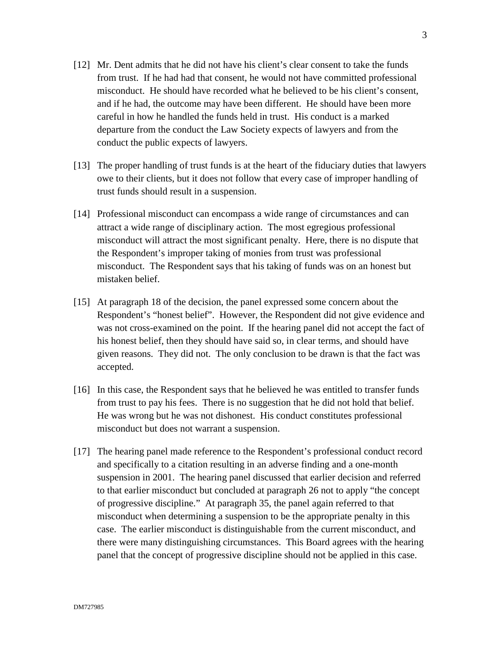- [12] Mr. Dent admits that he did not have his client's clear consent to take the funds from trust. If he had had that consent, he would not have committed professional misconduct. He should have recorded what he believed to be his client's consent, and if he had, the outcome may have been different. He should have been more careful in how he handled the funds held in trust. His conduct is a marked departure from the conduct the Law Society expects of lawyers and from the conduct the public expects of lawyers.
- [13] The proper handling of trust funds is at the heart of the fiduciary duties that lawyers owe to their clients, but it does not follow that every case of improper handling of trust funds should result in a suspension.
- [14] Professional misconduct can encompass a wide range of circumstances and can attract a wide range of disciplinary action. The most egregious professional misconduct will attract the most significant penalty. Here, there is no dispute that the Respondent's improper taking of monies from trust was professional misconduct. The Respondent says that his taking of funds was on an honest but mistaken belief.
- [15] At paragraph 18 of the decision, the panel expressed some concern about the Respondent's "honest belief". However, the Respondent did not give evidence and was not cross-examined on the point. If the hearing panel did not accept the fact of his honest belief, then they should have said so, in clear terms, and should have given reasons. They did not. The only conclusion to be drawn is that the fact was accepted.
- [16] In this case, the Respondent says that he believed he was entitled to transfer funds from trust to pay his fees. There is no suggestion that he did not hold that belief. He was wrong but he was not dishonest. His conduct constitutes professional misconduct but does not warrant a suspension.
- [17] The hearing panel made reference to the Respondent's professional conduct record and specifically to a citation resulting in an adverse finding and a one-month suspension in 2001. The hearing panel discussed that earlier decision and referred to that earlier misconduct but concluded at paragraph 26 not to apply "the concept of progressive discipline." At paragraph 35, the panel again referred to that misconduct when determining a suspension to be the appropriate penalty in this case. The earlier misconduct is distinguishable from the current misconduct, and there were many distinguishing circumstances. This Board agrees with the hearing panel that the concept of progressive discipline should not be applied in this case.